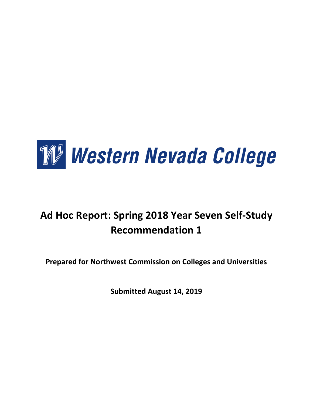

# **Ad Hoc Report: Spring 2018 Year Seven Self-Study Recommendation 1**

**Prepared for Northwest Commission on Colleges and Universities**

**Submitted August 14, 2019**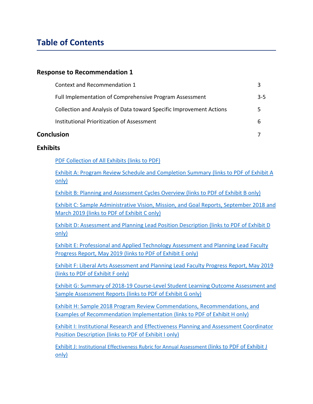# **Table of Contents**

#### **Response to Recommendation 1**

| Conclusion |                                                                     |     |
|------------|---------------------------------------------------------------------|-----|
|            | Institutional Prioritization of Assessment                          | b   |
|            | Collection and Analysis of Data toward Specific Improvement Actions | 5   |
|            | Full Implementation of Comprehensive Program Assessment             | 3-5 |
|            | Context and Recommendation 1                                        |     |

#### **Exhibits**

[PDF Collection of All Exhibits \(links to PDF\)](https://drive.google.com/file/d/1BfpY1IKDvCSAoUD3kqdTI7iHZSmzC2ms/view?usp=sharing)

[Exhibit A: Program Review Schedule and Completion Summary \(links to PDF of Exhibit A](https://drive.google.com/file/d/1A9OwlMR9wAos0NineDUoo6TRVH0mhf9K/view?usp=sharing)  [only\)](https://drive.google.com/file/d/1A9OwlMR9wAos0NineDUoo6TRVH0mhf9K/view?usp=sharing)

[Exhibit B: Planning and Assessment Cycles Overview \(links to PDF of Exhibit B only\)](https://drive.google.com/file/d/1XcQ6b-S4BOzMTMczpvfmKqqfvimp0hzV/view?usp=sharing)

Exhibit C: Sample Administrative [Vision, Mission, and Goal Reports, September 2018 and](https://drive.google.com/file/d/1-Ob7aS92Jt31lEEeDx34JP-86P_Em6E2/view?usp=sharing)  March 2019 [\(links to PDF of Exhibit C only\)](https://drive.google.com/file/d/1-Ob7aS92Jt31lEEeDx34JP-86P_Em6E2/view?usp=sharing)

[Exhibit D: Assessment and Planning Lead Position Description](https://drive.google.com/file/d/1jCHM-3GjLBL2RFr7wol7BOj9QZEUjgKF/view?usp=sharing) (links to PDF of Exhibit D [only\)](https://drive.google.com/file/d/1jCHM-3GjLBL2RFr7wol7BOj9QZEUjgKF/view?usp=sharing)

[Exhibit E: Professional and Applied Technology Assessment and Planning Lead Faculty](https://drive.google.com/file/d/1Za-zHWNjoQhqvhQhkpzjUpkZPYPd3r8I/view?usp=sharing)  Progress Report, May 2019 [\(links to PDF of Exhibit E only\)](https://drive.google.com/file/d/1Za-zHWNjoQhqvhQhkpzjUpkZPYPd3r8I/view?usp=sharing)

[Exhibit F: Liberal Arts Assessment and Planning Lead Faculty Progress Report, May 2019](https://drive.google.com/open?id=1BhS1B_J49SlXG8lY1f10mNs3ENQr0qio) [\(links to PDF of Exhibit F only\)](https://drive.google.com/open?id=1BhS1B_J49SlXG8lY1f10mNs3ENQr0qio)

[Exhibit G: Summary of 2018-19 Course-Level Student Learning Outcome Assessment and](https://drive.google.com/open?id=1Q3qDH9xny_hWGKpSpICBQRh_tDIUr6tg)  Sample Assessment Reports [\(links to PDF of Exhibit G only\)](https://drive.google.com/open?id=1Q3qDH9xny_hWGKpSpICBQRh_tDIUr6tg)

[Exhibit H: Sample 2018 Program Review Commendations, Recommendations, and](https://drive.google.com/file/d/15XFfibt2B0AmOmoEHm396jfJoXcJ1vhC/view?usp=sharing)  [Examples of Recommendation Implementation \(links to PDF of Exhibit H only\)](https://drive.google.com/file/d/15XFfibt2B0AmOmoEHm396jfJoXcJ1vhC/view?usp=sharing)

[Exhibit I: Institutional Research and Effectiveness Planning and Assessment Coordinator](https://drive.google.com/file/d/132OnufbDk0IFBvJryCUYcguRECVX6tUo/view?usp=sharing)  Position Description [\(links to PDF of Exhibit I only\)](https://drive.google.com/file/d/132OnufbDk0IFBvJryCUYcguRECVX6tUo/view?usp=sharing)

Exhibit J: [Institutional Effectiveness Rubric for Annual Assessment](https://drive.google.com/file/d/1K2zUeWk-p4iYZ4Y1YnbAGqQCqtn3sslF/view?usp=sharing) (links to PDF of Exhibit J [only\)](https://drive.google.com/file/d/1K2zUeWk-p4iYZ4Y1YnbAGqQCqtn3sslF/view?usp=sharing)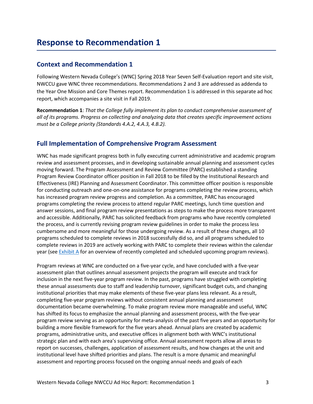#### **Context and Recommendation 1**

Following Western Nevada College's (WNC) Spring 2018 Year Seven Self-Evaluation report and site visit, NWCCU gave WNC three recommendations. Recommendations 2 and 3 are addressed as addenda to the Year One Mission and Core Themes report. Recommendation 1 is addressed in this separate ad hoc report, which accompanies a site visit in Fall 2019.

**Recommendation 1**: *That the College fully implement its plan to conduct comprehensive assessment of all of its programs. Progress on collecting and analyzing data that creates specific improvement actions must be a College priority (Standards 4.A.2, 4.A.3, 4.B.2).*

#### **Full Implementation of Comprehensive Program Assessment**

WNC has made significant progress both in fully executing current administrative and academic program review and assessment processes, and in developing sustainable annual planning and assessment cycles moving forward. The Program Assessment and Review Committee (PARC) established a standing Program Review Coordinator officer position in Fall 2018 to be filled by the Institutional Research and Effectiveness (IRE) Planning and Assessment Coordinator. This committee officer position is responsible for conducting outreach and one-on-one assistance for programs completing the review process, which has increased program review progress and completion. As a committee, PARC has encouraged programs completing the review process to attend regular PARC meetings, lunch time question and answer sessions, and final program review presentations as steps to make the process more transparent and accessible. Additionally, PARC has solicited feedback from programs who have recently completed the process, and is currently revising program review guidelines in order to make the process less cumbersome and more meaningful for those undergoing review. As a result of these changes, all 10 programs scheduled to complete reviews in 2018 successfully did so, and all programs scheduled to complete reviews in 2019 are actively working with PARC to complete their reviews within the calendar year (see [Exhibit A](https://drive.google.com/file/d/1A9OwlMR9wAos0NineDUoo6TRVH0mhf9K/view?usp=sharing) for an overview of recently completed and scheduled upcoming program reviews).

Program reviews at WNC are conducted on a five-year cycle, and have concluded with a five-year assessment plan that outlines annual assessment projects the program will execute and track for inclusion in the next five-year program review. In the past, programs have struggled with completing these annual assessments due to staff and leadership turnover, significant budget cuts, and changing institutional priorities that may make elements of these five-year plans less relevant. As a result, completing five-year program reviews without consistent annual planning and assessment documentation became overwhelming. To make program review more manageable and useful, WNC has shifted its focus to emphasize the annual planning and assessment process, with the five-year program review serving as an opportunity for meta-analysis of the past five years and an opportunity for building a more flexible framework for the five years ahead. Annual plans are created by academic programs, administrative units, and executive offices in alignment both with WNC's institutional strategic plan and with each area's supervising office. Annual assessment reports allow all areas to report on successes, challenges, application of assessment results, and how changes at the unit and institutional level have shifted priorities and plans. The result is a more dynamic and meaningful assessment and reporting process focused on the ongoing annual needs and goals of each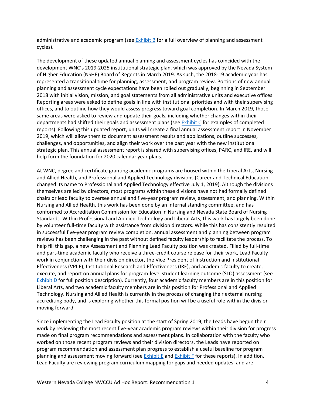administrative and academic program (see [Exhibit B](https://drive.google.com/file/d/1XcQ6b-S4BOzMTMczpvfmKqqfvimp0hzV/view?usp=sharing) for a full overview of planning and assessment cycles).

The development of these updated annual planning and assessment cycles has coincided with the development WNC's 2019-2025 institutional strategic plan, which was approved by the Nevada System of Higher Education (NSHE) Board of Regents in March 2019. As such, the 2018-19 academic year has represented a transitional time for planning, assessment, and program review. Portions of new annual planning and assessment cycle expectations have been rolled out gradually, beginning in September 2018 with initial vision, mission, and goal statements from all administrative units and executive offices. Reporting areas were asked to define goals in line with institutional priorities and with their supervising offices, and to outline how they would assess progress toward goal completion. In March 2019, those same areas were asked to review and update their goals, including whether changes within their departments had shifted their goals and assessment plans (see [Exhibit C](https://drive.google.com/file/d/1-Ob7aS92Jt31lEEeDx34JP-86P_Em6E2/view?usp=sharing) for examples of completed reports). Following this updated report, units will create a final annual assessment report in November 2019, which will allow them to document assessment results and applications, outline successes, challenges, and opportunities, and align their work over the past year with the new institutional strategic plan. This annual assessment report is shared with supervising offices, PARC, and IRE, and will help form the foundation for 2020 calendar year plans.

At WNC, degree and certificate granting academic programs are housed within the Liberal Arts, Nursing and Allied Health, and Professional and Applied Technology divisions (Career and Technical Education changed its name to Professional and Applied Technology effective July 1, 2019). Although the divisions themselves are led by directors, most programs within these divisions have not had formally defined chairs or lead faculty to oversee annual and five-year program review, assessment, and planning. Within Nursing and Allied Health, this work has been done by an internal standing committee, and has conformed to Accreditation Commission for Education in Nursing and Nevada State Board of Nursing Standards. Within Professional and Applied Technology and Liberal Arts, this work has largely been done by volunteer full-time faculty with assistance from division directors. While this has consistently resulted in successful five-year program review completion, annual assessment and planning between program reviews has been challenging in the past without defined faculty leadership to facilitate the process. To help fill this gap, a new Assessment and Planning Lead Faculty position was created. Filled by full-time and part-time academic faculty who receive a three-credit course release for their work, Lead Faculty work in conjunction with their division director, the Vice President of Instruction and Institutional Effectiveness (VPIIE), Institutional Research and Effectiveness (IRE), and academic faculty to create, execute, and report on annual plans for program-level student learning outcome (SLO) assessment (see [Exhibit D](https://drive.google.com/file/d/1jCHM-3GjLBL2RFr7wol7BOj9QZEUjgKF/view?usp=sharing) for full position description). Currently, four academic faculty members are in this position for Liberal Arts, and two academic faculty members are in this position for Professional and Applied Technology. Nursing and Allied Health is currently in the process of changing their external nursing accrediting body, and is exploring whether this formal position will be a useful role within the division moving forward.

Since implementing the Lead Faculty position at the start of Spring 2019, the Leads have begun their work by reviewing the most recent five-year academic program reviews within their division for progress made on final program recommendations and assessment plans. In collaboration with the faculty who worked on those recent program reviews and their division directors, the Leads have reported on program recommendation and assessment plan progress to establish a useful baseline for program planning and assessment moving forward (see [Exhibit](https://drive.google.com/file/d/1BhS1B_J49SlXG8lY1f10mNs3ENQr0qio/view?usp=sharing) E and Exhibit F for these reports). In addition, Lead Faculty are reviewing program curriculum mapping for gaps and needed updates, and are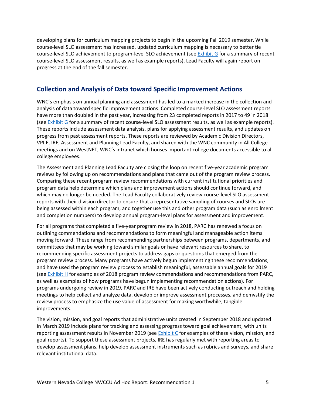developing plans for curriculum mapping projects to begin in the upcoming Fall 2019 semester. While course-level SLO assessment has increased, updated curriculum mapping is necessary to better tie course-level SLO achievement to program-level SLO achievement (see [Exhibit G](https://drive.google.com/open?id=1Q3qDH9xny_hWGKpSpICBQRh_tDIUr6tg) for a summary of recent course-level SLO assessment results, as well as example reports). Lead Faculty will again report on progress at the end of the fall semester.

## **Collection and Analysis of Data toward Specific Improvement Actions**

WNC's emphasis on annual planning and assessment has led to a marked increase in the collection and analysis of data toward specific improvement actions. Completed course-level SLO assessment reports have more than doubled in the past year, increasing from 23 completed reports in 2017 to 49 in 2018 (see [Exhibit G](https://drive.google.com/open?id=1Q3qDH9xny_hWGKpSpICBQRh_tDIUr6tg) for a summary of recent course-level SLO assessment results, as well as example reports). These reports include assessment data analysis, plans for applying assessment results, and updates on progress from past assessment reports. These reports are reviewed by Academic Division Directors, VPIIE, IRE, Assessment and Planning Lead Faculty, and shared with the WNC community in All College meetings and on WestNET, WNC's intranet which houses important college documents accessible to all college employees.

The Assessment and Planning Lead Faculty are closing the loop on recent five-year academic program reviews by following up on recommendations and plans that came out of the program review process. Comparing these recent program review recommendations with current institutional priorities and program data help determine which plans and improvement actions should continue forward, and which may no longer be needed. The Lead Faculty collaboratively review course-level SLO assessment reports with their division director to ensure that a representative sampling of courses and SLOs are being assessed within each program, and together use this and other program data (such as enrollment and completion numbers) to develop annual program-level plans for assessment and improvement.

For all programs that completed a five-year program review in 2018, PARC has renewed a focus on outlining commendations and recommendations to form meaningful and manageable action items moving forward. These range from recommending partnerships between programs, departments, and committees that may be working toward similar goals or have relevant resources to share, to recommending specific assessment projects to address gaps or questions that emerged from the program review process. Many programs have actively begun implementing these recommendations, and have used the program review process to establish meaningful, assessable annual goals for 2019 (see [Exhibit H](https://drive.google.com/file/d/15XFfibt2B0AmOmoEHm396jfJoXcJ1vhC/view?usp=sharing) for examples of 2018 program review commendations and recommendations from PARC, as well as examples of how programs have begun implementing recommendation actions). For programs undergoing review in 2019, PARC and IRE have been actively conducting outreach and holding meetings to help collect and analyze data, develop or improve assessment processes, and demystify the review process to emphasize the use value of assessment for making worthwhile, tangible improvements.

The vision, mission, and goal reports that administrative units created in September 2018 and updated in March 2019 include plans for tracking and assessing progress toward goal achievement, with units reporting assessment results in November 2019 (see [Exhibit C](https://drive.google.com/file/d/1-Ob7aS92Jt31lEEeDx34JP-86P_Em6E2/view?usp=sharing) for examples of these vision, mission, and goal reports). To support these assessment projects, IRE has regularly met with reporting areas to develop assessment plans, help develop assessment instruments such as rubrics and surveys, and share relevant institutional data.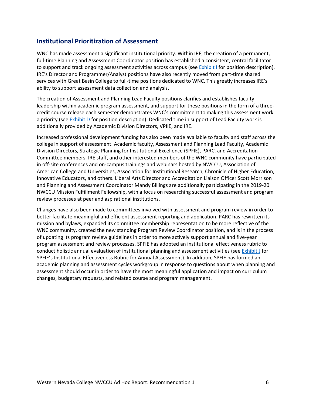### **Institutional Prioritization of Assessment**

WNC has made assessment a significant institutional priority. Within IRE, the creation of a permanent, full-time Planning and Assessment Coordinator position has established a consistent, central facilitator to support and track ongoing assessment activities across campus (see [Exhibit I](https://drive.google.com/file/d/132OnufbDk0IFBvJryCUYcguRECVX6tUo/view?usp=sharing) for position description). IRE's Director and Programmer/Analyst positions have also recently moved from part-time shared services with Great Basin College to full-time positions dedicated to WNC. This greatly increases IRE's ability to support assessment data collection and analysis.

The creation of Assessment and Planning Lead Faculty positions clarifies and establishes faculty leadership within academic program assessment, and support for these positions in the form of a threecredit course release each semester demonstrates WNC's commitment to making this assessment work a priority (see [Exhibit D](https://drive.google.com/file/d/1jCHM-3GjLBL2RFr7wol7BOj9QZEUjgKF/view?usp=sharing) for position description). Dedicated time in support of Lead Faculty work is additionally provided by Academic Division Directors, VPIIE, and IRE.

Increased professional development funding has also been made available to faculty and staff across the college in support of assessment. Academic faculty, Assessment and Planning Lead Faculty, Academic Division Directors, Strategic Planning for Institutional Excellence (SPFIE), PARC, and Accreditation Committee members, IRE staff, and other interested members of the WNC community have participated in off-site conferences and on-campus trainings and webinars hosted by NWCCU, Association of American College and Universities, Association for Institutional Research, Chronicle of Higher Education, Innovative Educators, and others. Liberal Arts Director and Accreditation Liaison Officer Scott Morrison and Planning and Assessment Coordinator Mandy Billings are additionally participating in the 2019-20 NWCCU Mission Fulfillment Fellowship, with a focus on researching successful assessment and program review processes at peer and aspirational institutions.

Changes have also been made to committees involved with assessment and program review in order to better facilitate meaningful and efficient assessment reporting and application. PARC has rewritten its mission and bylaws, expanded its committee membership representation to be more reflective of the WNC community, created the new standing Program Review Coordinator position, and is in the process of updating its program review guidelines in order to more actively support annual and five-year program assessment and review processes. SPFIE has adopted an institutional effectiveness rubric to conduct holistic annual evaluation of institutional planning and assessment activities (see [Exhibit J](https://drive.google.com/file/d/1K2zUeWk-p4iYZ4Y1YnbAGqQCqtn3sslF/view?usp=sharing) for SPFIE's Institutional Effectiveness Rubric for Annual Assessment). In addition, SPFIE has formed an academic planning and assessment cycles workgroup in response to questions about when planning and assessment should occur in order to have the most meaningful application and impact on curriculum changes, budgetary requests, and related course and program management.